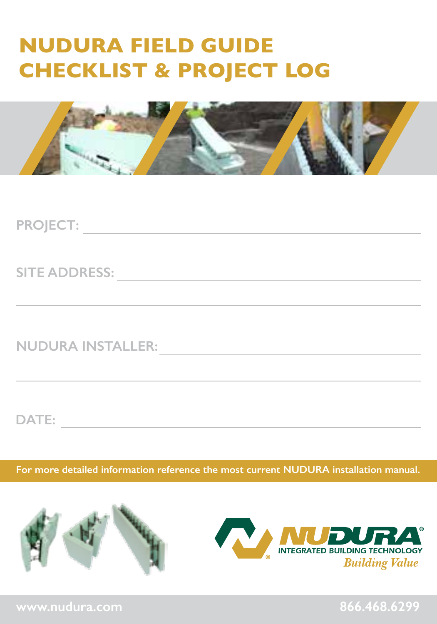# **NUDURA FIELD GUIDE CHECKLIST & PROJECT LOG**



**PROJECT:**

**SITE ADDRESS:**

**NUDURA INSTALLER:**

**DATE:**

**For more detailed information reference the most current NUDURA installation manual.** 

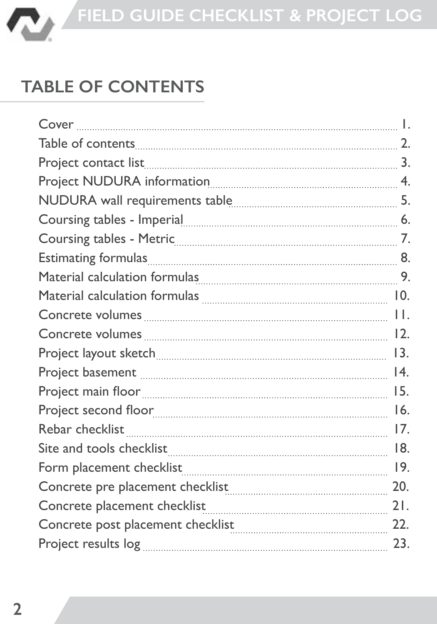

# **TABLE OF CONTENTS**

| Coursing tables - Imperial <b>contained a manufacture of the Coursing tables</b> - Imperial measures and the Section of the Section of the Section of the Section of the Section of the Section of the Section of the Section of th |     |
|-------------------------------------------------------------------------------------------------------------------------------------------------------------------------------------------------------------------------------------|-----|
|                                                                                                                                                                                                                                     |     |
| Estimating formulas 3.8 and 2010 and 2010 and 2010 and 2010 and 2010 and 2010 and 2010 and 2010 and 2010 and 2                                                                                                                      |     |
| Material calculation formulas 1994 1994 1994 1994                                                                                                                                                                                   |     |
| Material calculation formulas <b>Entitled and Strute 12</b> 10.                                                                                                                                                                     |     |
|                                                                                                                                                                                                                                     |     |
|                                                                                                                                                                                                                                     |     |
|                                                                                                                                                                                                                                     | 13. |
| Project basement <b>must also according to the ULA</b> 14.                                                                                                                                                                          |     |
|                                                                                                                                                                                                                                     | 15. |
|                                                                                                                                                                                                                                     | 16. |
|                                                                                                                                                                                                                                     | 17. |
|                                                                                                                                                                                                                                     | 18. |
|                                                                                                                                                                                                                                     |     |
|                                                                                                                                                                                                                                     | 20. |
| Concrete placement checklist                                                                                                                                                                                                        | 21. |
| Concrete post placement checklist                                                                                                                                                                                                   | 22. |
|                                                                                                                                                                                                                                     | 23. |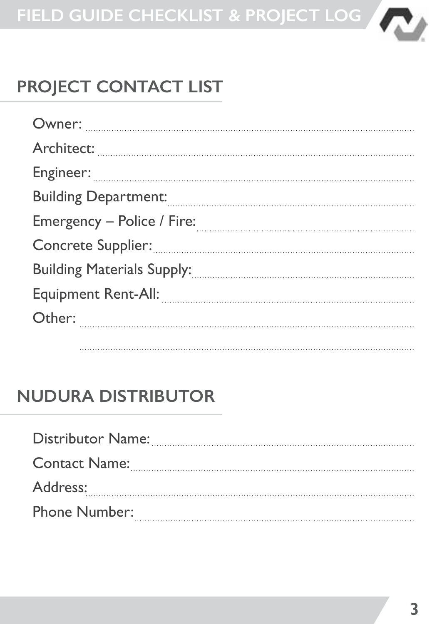

# **PROJECT CONTACT LIST**

| Engineer: www.communication.com/www.communication.com/www.com/www.com/www.com/www.com/www.com/www.com/www.com/ |
|----------------------------------------------------------------------------------------------------------------|
| Building Department: www.communication.communication.com                                                       |
|                                                                                                                |
|                                                                                                                |
|                                                                                                                |
| Equipment Rent-All: <b>Constitution Property Alli</b>                                                          |
|                                                                                                                |
|                                                                                                                |

### **NUDURA DISTRIBUTOR**

| Distributor Name:    |
|----------------------|
| <b>Contact Name:</b> |
| Address:             |
| Phone Number:        |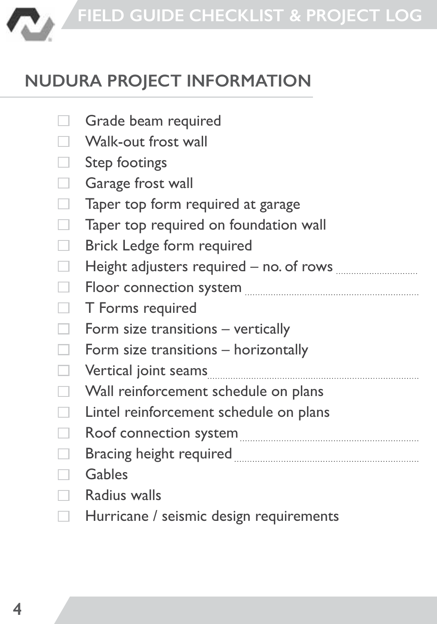

# **NUDURA PROJECT INFORMATION**

|     | Grade beam required                                                                          |
|-----|----------------------------------------------------------------------------------------------|
|     | Walk-out frost wall                                                                          |
|     | Step footings                                                                                |
| a l | Garage frost wall                                                                            |
| ┓   | Taper top form required at garage                                                            |
| a l | Taper top required on foundation wall                                                        |
| a l | Brick Ledge form required                                                                    |
|     | Height adjusters required – no. of rows will all the Height adjusters required – no. of rows |
| ٠   |                                                                                              |
|     | T Forms required                                                                             |
|     | Form size transitions - vertically                                                           |
|     | Form size transitions - horizontally                                                         |
| ┓   | Vertical joint seams                                                                         |
| ┓   | Wall reinforcement schedule on plans                                                         |
| ┓   | Lintel reinforcement schedule on plans                                                       |
|     |                                                                                              |
|     | Bracing height required <b>Manual Community of the State of August</b> 2014                  |
|     | Gables                                                                                       |
|     | Radius walls                                                                                 |

 $\Box$ Hurricane / seismic design requirements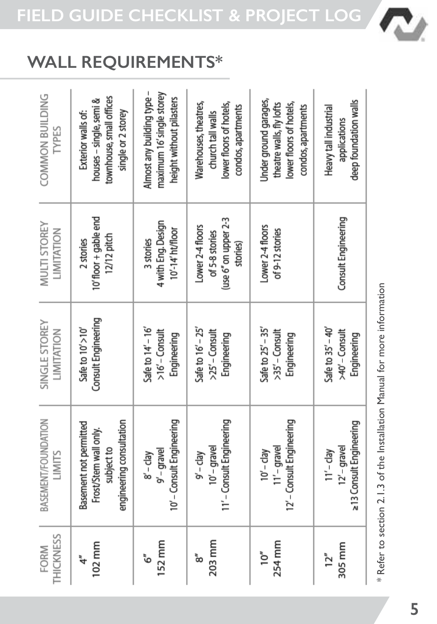### **WALL REQUIREMENTS\***

| COMMON BUILDING<br>TYPES             | townhouse, small offices<br>houses - single, semi &<br>single or 2 storey<br>Exterior walls of: | Almost any building type -<br>maximum 16' single storey<br>height without pilasters | Warehouses, theatres,<br>lower floors of hotels,<br>condos, apartments<br>church tall walls | Jnder ground garages,<br>lower floors of hotels,<br>theatre walls, fly lofts<br>condos, apartments | deep foundation walls<br>Heavy tall industrial<br>applications |
|--------------------------------------|-------------------------------------------------------------------------------------------------|-------------------------------------------------------------------------------------|---------------------------------------------------------------------------------------------|----------------------------------------------------------------------------------------------------|----------------------------------------------------------------|
| <b>MULTI STOREY</b><br>LIMITATION    | 10' floor + gable end<br>12/12 pitch<br>2 stories                                               | 4 with Eng. Design<br>10'-14' ht/floor<br>3 stories                                 | (use 6" on upper 2-3<br>Lower 2-4 floors<br>of 5-8 stories<br>stories)                      | Lower 2-4 floors<br>of 9-12 stories                                                                | Consult Engineering                                            |
| SINGLE STOREY<br>LIMITATION          | Consult Engineering<br>Safe to $10'$ > $10'$                                                    | Safe to $14'$ – $16'$<br>$>16'$ - Consult<br>Engineering                            | Safe to $16' - 25'$<br>$>25'$ - Consult<br>Engineering                                      | Safe to $25'$ - $35'$<br>>35' - Consult<br>Engineering                                             | Safe to $35' - 40'$<br>>40' – Consult<br>Engineering           |
| <b>BASEMENT/FOUNDATION</b><br>LIMITS | engineering consultation<br>Basement not permitted<br>Frost/Stem wall only.<br>subject to       | 10' - Consult Engineering<br>$9' -$ gravel<br>$R_1 - qB$                            | 11′ – Consult Engineering<br>$10' -$ gravel<br>$9' - \text{clay}$                           | 12' - Consult Engineering<br>$11' -$ gravel<br>$10' - \text{clay}$                                 | 213 Consult Engineering<br>12' - gravel<br>$11' - \text{day}$  |
| <b>THICKNESS</b><br>FORM             | 102 mm<br>$\ddot{4}$                                                                            | 152 mm<br>ڻ'                                                                        | 203 mm<br>g                                                                                 | 254 mm<br>10''                                                                                     | 305 mm<br>12''                                                 |

\* Refer to section 2.1.3 of the Installation Manual for more information \* Refer to section 2.1.3 of the Installation Manual for more information

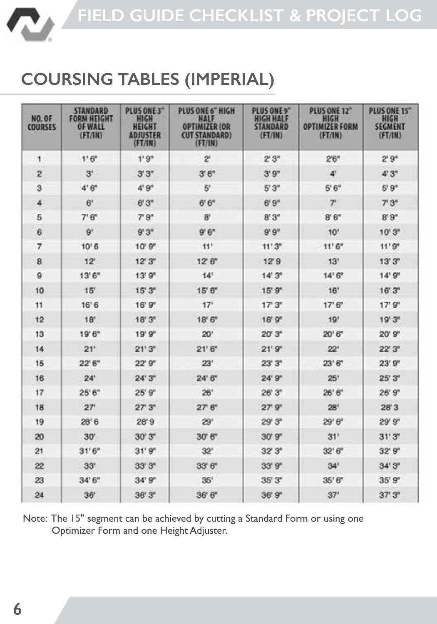

### **COURSING TABLES (IMPERIAL)**

| <b>NO. OF</b><br><b>COURSES</b> | <b>STANDARD</b><br><b>FORM HEIGHT</b><br><b>OF WALL</b><br>(FT/ N) | PLUS ONE 3"<br>HIGH<br><b>HEIGHT</b><br><b>ADJUSTER</b><br>(FI/IN) | PLUS ONE 6" HIGH<br>HALF<br><b>OPTIMIZER (OR</b><br><b>CUT STANDARD)</b><br>(FT/IM) | PLUS ONE 9"<br><b>HIGH HALF</b><br><b>STANDARD</b><br>(FT/1N) | PLUS ONE 12"<br>HIGH<br><b>OPTIMIZER FORM</b><br>(FT/IM) | PLUS ONE 15"<br>HIGH<br><b>SEGMENT</b><br>(FT/IN) |
|---------------------------------|--------------------------------------------------------------------|--------------------------------------------------------------------|-------------------------------------------------------------------------------------|---------------------------------------------------------------|----------------------------------------------------------|---------------------------------------------------|
| 1                               | $1.6^{\circ}$                                                      | 1.9 <sup>n</sup>                                                   | $\overline{2}$                                                                      | $2^{n}3^{n}$                                                  | 2'6''                                                    | 2'9''                                             |
| $\overline{2}$                  | 3'                                                                 | 3'3''                                                              | 3'6''                                                                               | 3'9''                                                         | 4                                                        | 4'3''                                             |
| 3                               | 4'6''                                                              | 4'9''                                                              | $5^{\circ}$                                                                         | 5'3''                                                         | 5'6''                                                    | 5'9"                                              |
| 4                               | 6 <sup>1</sup>                                                     | 6'3''                                                              | 6'6''                                                                               | 6'9''                                                         | $\overline{7}$                                           | 7°3°                                              |
| 5                               | 7'6''                                                              | 7°9"                                                               | $B^t$                                                                               | 8'3''                                                         | 8'6''                                                    | 8'9"                                              |
| 6                               | 9'                                                                 | 9'3''                                                              | 9'6''                                                                               | 9'9''                                                         | 10 <sup>1</sup>                                          | 10'3''                                            |
| 7                               | 10'6                                                               | 10'9''                                                             | 11'                                                                                 | 11'3''                                                        | 11'6''                                                   | 11'9'                                             |
| $\bf{B}$                        | 12 <sup>e</sup>                                                    | $12^{\circ}3^{\circ}$                                              | $12^{\circ}6^{\circ}$                                                               | 12'9                                                          | 13'                                                      | 13' 3"                                            |
| 9                               | 13'6''                                                             | 13'9''                                                             | 14'                                                                                 | 14'3''                                                        | 14'6''                                                   | 14'9'                                             |
| 10                              | 15'                                                                | 15'3''                                                             | 15'6''                                                                              | 15'9''                                                        | 16'                                                      | 16' 3"                                            |
| 11                              | 16'6                                                               | 16' 9"                                                             | 17'                                                                                 | 17'3''                                                        | 17'6''                                                   | 17'9''                                            |
| 12                              | 18'                                                                | 18'3''                                                             | 18'6''                                                                              | 18'9''                                                        | 19'                                                      | 19'3''                                            |
| 13                              | 19'6"                                                              | 19'9''                                                             | 20 <sup>1</sup>                                                                     | 20'3"                                                         | 20'6"                                                    | $20'$ $9''$                                       |
| 14                              | 21'                                                                | 21'3''                                                             | 21'6''                                                                              | 21'9''                                                        | 22'                                                      | $22^{\circ}.3^{\circ}$                            |
| 15                              | $22^{\circ}6^{\circ}$                                              | 22'9'                                                              | 23'                                                                                 | 23'3''                                                        | 23'6''                                                   | 23'9''                                            |
| 16                              | 24'                                                                | 24'3''                                                             | 24'6''                                                                              | 24'9"                                                         | 25'                                                      | 25'3''                                            |
| 17                              | 25'6''                                                             | 25'9''                                                             | 26'                                                                                 | 26'3''                                                        | 26'6''                                                   | 26'9''                                            |
| 18                              | 27                                                                 | 27'3''                                                             | 27 <sup>6</sup>                                                                     | 27'9''                                                        | 28'                                                      | 28'3                                              |
| 19                              | 28'6                                                               | 28'9                                                               | 29'                                                                                 | 29'3''                                                        | 29'6"                                                    | 29'9'                                             |
| 20                              | 30'                                                                | 30'3''                                                             | 30'6''                                                                              | 30'9''                                                        | 31'                                                      | 31'3''                                            |
| 21                              | 31'6''                                                             | 31'9''                                                             | 32 <sup>1</sup>                                                                     | 32'3''                                                        | 32'6''                                                   | 32'9'                                             |
| 22                              | 33'                                                                | 33'3''                                                             | 33'6''                                                                              | 33'9''                                                        | 34'                                                      | 34'3''                                            |
| 23                              | 34'6''                                                             | 34'9''                                                             | 35'                                                                                 | 35'3''                                                        | 35'6''                                                   | 35'9''                                            |
| 24                              | 36'                                                                | 36'3''                                                             | 36' 6"                                                                              | 36'9''                                                        | 37' 3"                                                   |                                                   |

Note: The 15" segment can be achieved by cutting a Standard Form or using one Optimizer Form and one Height Adjuster.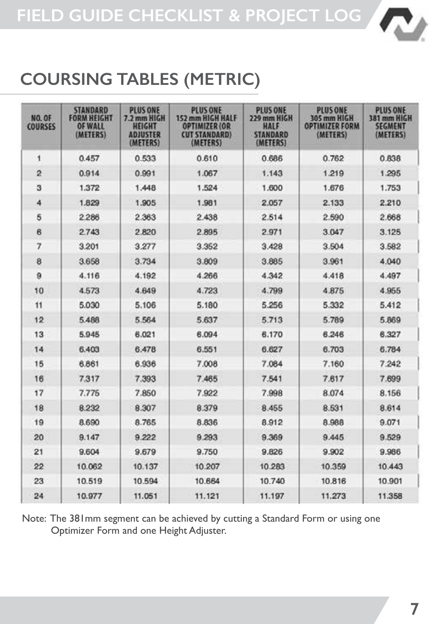

### **COURSING TABLES (METRIC)**

| NO. OF<br>COURSES | <b>STANDARD</b><br><b>FORM HEIGHT</b><br><b>OF WALL</b><br>(METERS) | <b>PLUS ONE</b><br>7.2 mm HIGH<br><b>HEIGHT</b><br><b>ADJUSTER</b><br>(METERS) | <b>PLUS ONE</b><br>152 mm HIGH HALF<br><b>OPTIMIZER (OR</b><br><b>CUT STANDARD)</b><br>(METERS) | <b>PLUS ONE</b><br>229 mm HIGH<br><b>HALF</b><br><b>STANDARD</b><br>(METERS) | <b>PLUS ONE</b><br>305 mm HIGH<br><b>OPTIMIZER FORM</b><br>(METERS) | <b>PLUS ONE</b><br>381 mm HIGH<br><b>SEGMENT</b><br>(METERS) |  |  |  |
|-------------------|---------------------------------------------------------------------|--------------------------------------------------------------------------------|-------------------------------------------------------------------------------------------------|------------------------------------------------------------------------------|---------------------------------------------------------------------|--------------------------------------------------------------|--|--|--|
| 1                 | 0.457                                                               | 0.533                                                                          | 0.610                                                                                           | 0.686                                                                        | 0.762                                                               | 0.838                                                        |  |  |  |
| $\overline{2}$    | 0.914                                                               | 0.991                                                                          | 1.067                                                                                           | 1.143                                                                        | 1.219                                                               | 1.295                                                        |  |  |  |
| 3                 | 1.372                                                               | 1.448                                                                          | 1.524                                                                                           | 1.600                                                                        | 1.676                                                               | 1.753                                                        |  |  |  |
| 4                 | 1.829                                                               | 1.905                                                                          | 1.981                                                                                           | 2.057                                                                        | 2.133                                                               | 2.210                                                        |  |  |  |
| 5                 | 2286                                                                | 2.363                                                                          | 2.438                                                                                           | 2.514                                                                        | 2.590                                                               | 2.668                                                        |  |  |  |
| $\epsilon$        | 2.743                                                               | 2.820                                                                          | 2.895                                                                                           | 2.971                                                                        | 3.047                                                               | 3.125                                                        |  |  |  |
| $\overline{7}$    | 3.201                                                               | 3.277                                                                          | 3.352                                                                                           | 3.428                                                                        | 3.504                                                               | 3.582                                                        |  |  |  |
| 8                 | 3.658                                                               | 3.734                                                                          | 3,809                                                                                           | 3.885                                                                        | 3.961                                                               | 4.040                                                        |  |  |  |
| $\theta$          | 4.116                                                               | 4.192                                                                          | 4.266                                                                                           | 4.342                                                                        | 4.418                                                               | 4.497                                                        |  |  |  |
| 10                | 4.573                                                               | 4.649                                                                          | 4.723                                                                                           | 4.799                                                                        | 4.875                                                               | 4.955                                                        |  |  |  |
| 11                | 5.030                                                               | 5.106                                                                          | 5.180                                                                                           | 5.256                                                                        | 5.332                                                               | 5.412                                                        |  |  |  |
| 12                | 5.488                                                               | 5.564                                                                          | 5.637                                                                                           | 5.713                                                                        | 5.789                                                               | 5.869                                                        |  |  |  |
| 13                | 5945                                                                | 6.021                                                                          | 6.094                                                                                           | 6.170                                                                        | 6.246                                                               | 6.327                                                        |  |  |  |
| 14                | 6.403                                                               | 6.478                                                                          | 6.551                                                                                           | 6.627                                                                        | 6.703                                                               | 6.784                                                        |  |  |  |
| 15                | 6.861                                                               | 6,936                                                                          | 7.008                                                                                           | 7.084                                                                        | 7.160                                                               | 7.242                                                        |  |  |  |
| 16                | 7.317                                                               | 7.393                                                                          | 7.465                                                                                           | 7.541                                                                        | 7,617                                                               | <b>7.699</b>                                                 |  |  |  |
| 17                | 7.775                                                               | 7.850                                                                          | 7.922                                                                                           | 7.998                                                                        | 8.074                                                               | 8.156                                                        |  |  |  |
| 18                | 8.232                                                               | 8.307                                                                          | 8.379                                                                                           | 8.455                                                                        | 8.531                                                               | 8.614                                                        |  |  |  |
| 19                | 8.690                                                               | 8.765                                                                          | 8.836                                                                                           | 8.912                                                                        | 8.988                                                               | 9.071                                                        |  |  |  |
| 20                | 9.147                                                               | 9.222                                                                          | 9.293                                                                                           | 9.369                                                                        | 9.445                                                               | 9.529                                                        |  |  |  |
| 21                | 9.604                                                               | 9.679                                                                          | 9.750                                                                                           | 9.826                                                                        | 9.902                                                               | 9.986                                                        |  |  |  |
| 22                | 10.062                                                              | 10.137                                                                         | 10.207                                                                                          | 10.283                                                                       | 10.359                                                              | 10.443                                                       |  |  |  |
| 23                | 10.519                                                              | 10.594                                                                         | 10.664                                                                                          | 10,740                                                                       | 10,816                                                              | 10.901                                                       |  |  |  |
| 24                | 10.977                                                              | 11.051                                                                         | 11.121                                                                                          | 11.197                                                                       | 11.358                                                              |                                                              |  |  |  |

Note: The 381mm segment can be achieved by cutting a Standard Form or using one Optimizer Form and one Height Adjuster.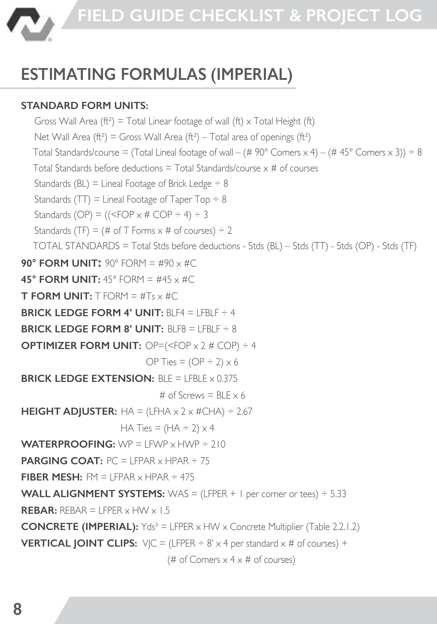

# **ESTIMATING FORMULAS (IMPERIAL)**

### **STANDARD FORM UNITS:**

Gross Wall Area ( $ft^2$ ) = Total Linear footage of wall ( $ft$ )  $\times$  Total Height ( $ft$ ) Net Wall Area ( $ft^2$ ) = Gross Wall Area ( $ft^2$ ) – Total area of openings ( $ft^2$ ) Total Standards/course = (Total Lineal footage of wall – (# 90° Corners x 4) – (# 45° Corners x 3))  $\div$  8 Total Standards before deductions  $=$  Total Standards/course  $\times$  # of courses Standards (BL) = Lineal Footage of Brick Ledge  $\div 8$ Standards (TT) = Lineal Footage of Taper Top  $\div 8$ Standards (OP) =  $((\leq$  FOP  $\times$  # COP  $\div$  4)  $\div$  3 Standards (TF) = (# of T Forms  $\times$  # of courses)  $\div$  2 TOTAL STANDARDS = Total Stds before deductions - Stds (BL) – Stds (TT) - Stds (OP) - Stds (TF) **90° FORM UNIT:** 90° FORM = #90  $\times$  #C **45° FORM UNIT:**  $45^\circ$  FORM =  $\#45 \times \#C$ **T FORM UNIT:**  $T$  FORM =  $\#T_S \times \#C$ **BRICK LEDGE FORM 4' UNIT: BLF4 = LFBLF ÷ 4 BRICK LEDGE FORM 8' UNIT:** BLF8 = LFBLF ÷ 8 **OPTIMIZER FORM UNIT:** OP=(<FOP x 2 # COP) ÷ 4 OP Ties =  $(OP + 2) \times 6$ **BRICK LEDGE EXTENSION:** BLE = LEBLE x 0.375 # of Screws =  $BLE \times 6$ **HEIGHT ADJUSTER:**  $HA = (LFHA \times 2 \times \#CHA) \div 2.67$ HA Ties =  $(HA \div 2) \times 4$ **WATERPROOFING:** WP = LFWP x HWP ÷ 210 **PARGING COAT:**  $PC = 1$  FPAR  $\times$  HPAR  $\div$  75 **FIRER MESH:** FM  $=$  LEPAR  $\times$  HPAR  $\div$  475 **WALL ALIGNMENT SYSTEMS:** WAS = (LFPER + 1 per corner or tees) ÷ 5.33  $RFRAR: RFRAR = 1 FPER \times HW \times 1.5$ **CONCRETE (IMPERIAL):** Yds<sup>3</sup> = LFPER x HW x Concrete Multiplier (Table 2.2.1.2) **VERTICAL JOINT CLIPS:**  $V/C = (LFPER \div 8' \times 4 per standard \times # of courses) +$ (# of Corners  $\times$  4  $\times$  # of courses)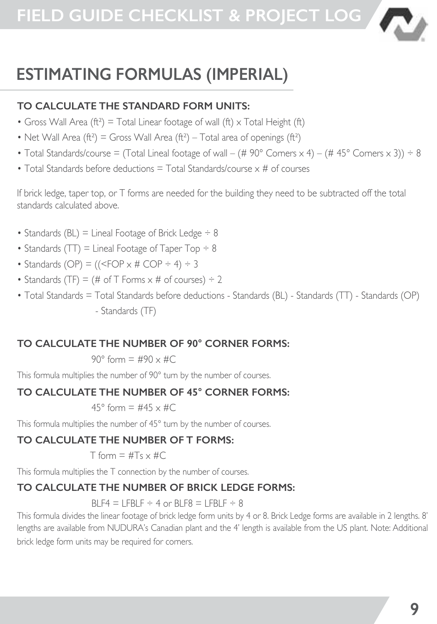

# **ESTIMATING FORMULAS (IMPERIAL)**

#### **TO CALCULATE THE STANDARD FORM UNITS:**

- Gross Wall Area ( $f_1^2$ ) = Total Linear footage of wall ( $f_1$ ) x Total Height ( $f_1$ )
- Net Wall Area ( $f_1^{2}$ ) = Gross Wall Area ( $f_1^{2}$ ) Total area of openings ( $f_1^{2}$ )
- Total Standards/course = (Total Lineal footage of wall (# 90° Corners  $\times$  4) (# 45° Corners  $\times$  3)) ÷ 8
- Total Standards before deductions = Total Standards/course x # of courses

If brick ledge, taper top, or T forms are needed for the building they need to be subtracted off the total standards calculated above.

- Standards (BL) = Lineal Footage of Brick Ledge  $\div$  8
- Standards ( $TT$ ) = Lineal Footage of Taper Top  $\div 8$
- Standards (OP) =  $((\leq$  FOP  $\times$  # COP  $\div$  4)  $\div$  3
- Standards (TF) = (# of T Forms  $\times$  # of courses)  $\div$  2
- Total Standards = Total Standards before deductions Standards (BL) Standards (TT) Standards (OP) - Standards (TF)

#### **TO CALCULATE THE NUMBER OF 90° CORNER FORMS:**

90° form  $=$  #90  $\times$  #C

This formula multiplies the number of 90° turn by the number of courses.

#### **TO CALCULATE THE NUMBER OF 45° CORNER FORMS:**

#### 45° form = #45  $\times$  #C

This formula multiplies the number of 45° turn by the number of courses.

#### **TO CALCULATE THE NUMBER OF T FORMS:**

 $T$  form  $=$   $\#T_S \times \#C$ 

This formula multiplies the T connection by the number of courses.

#### **TO CALCULATE THE NUMBER OF BRICK LEDGE FORMS:**

BLF4 = LFBLF  $\div$  4 or BLF8 = LFBLF  $\div$  8

This formula divides the linear footage of brick ledge form units by 4 or 8. Brick Ledge forms are available in 2 lengths. 8' lengths are available from NUDURA's Canadian plant and the 4' length is available from the US plant. Note: Additional

brick ledge form units may be required for corners.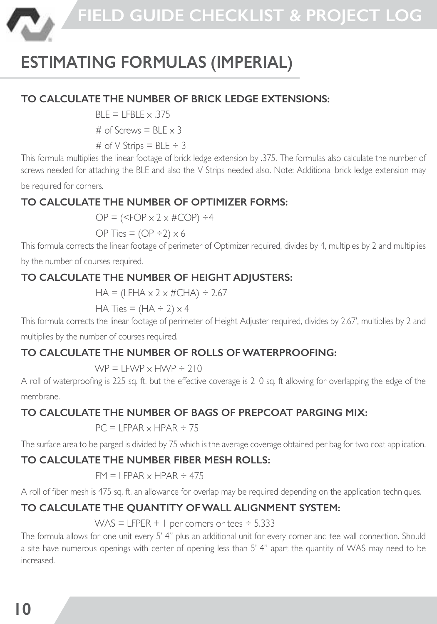

# **ESTIMATING FORMULAS (IMPERIAL)**

#### **TO CALCULATE THE NUMBER OF BRICK LEDGE EXTENSIONS:**

 $RI F = I FRI F \times 375$ 

# of Screws  $=$  BLE  $\times$  3

# of  $V$  Strips = BLE  $\div$  3

This formula multiplies the linear footage of brick ledge extension by .375. The formulas also calculate the number of screws needed for attaching the BLE and also the V Strips needed also. Note: Additional brick ledge extension may

be required for corners.

#### **TO CALCULATE THE NUMBER OF OPTIMIZER FORMS:**

 $OP =$  (<FOP  $\times$  2  $\times$  #COP)  $\div$ 4

OP Ties =  $(OP \div 2) \times 6$ 

This formula corrects the linear footage of perimeter of Optimizer required, divides by 4, multiples by 2 and multiplies

by the number of courses required.

#### **TO CALCULATE THE NUMBER OF HEIGHT ADJUSTERS:**

 $HA = (LFHA \times 2 \times \#CHA) \div 2.67$ 

HA Ties =  $(HA + 2) \times 4$ 

This formula corrects the linear footage of perimeter of Height Adjuster required, divides by 2.67', multiplies by 2 and

multiplies by the number of courses required.

#### **TO CALCULATE THE NUMBER OF ROLLS OF WATERPROOFING:**

 $WP = IFWP \times HWP + 210$ 

A roll of waterproofing is 225 sq. ft. but the effective coverage is 210 sq. ft allowing for overlapping the edge of the membrane.

#### **TO CALCULATE THE NUMBER OF BAGS OF PREPCOAT PARGING MIX:**

 $PC = I$  FPAR  $\times$  HPAR  $\div$  75

The surface area to be parged is divided by 75 which is the average coverage obtained per bag for two coat application.

#### **TO CALCULATE THE NUMBER FIBER MESH ROLLS:**

 $FM = I FPAR \times HPAR \div 475$ 

A roll of fiber mesh is 475 sq. ft. an allowance for overlap may be required depending on the application techniques.

#### **TO CALCULATE THE QUANTITY OF WALL ALIGNMENT SYSTEM:**

WAS  $=$  LFPER + 1 per corners or tees  $\div$  5.333

The formula allows for one unit every 5' 4" plus an additional unit for every corner and tee wall connection. Should a site have numerous openings with center of opening less than 5' 4" apart the quantity of WAS may need to be increased.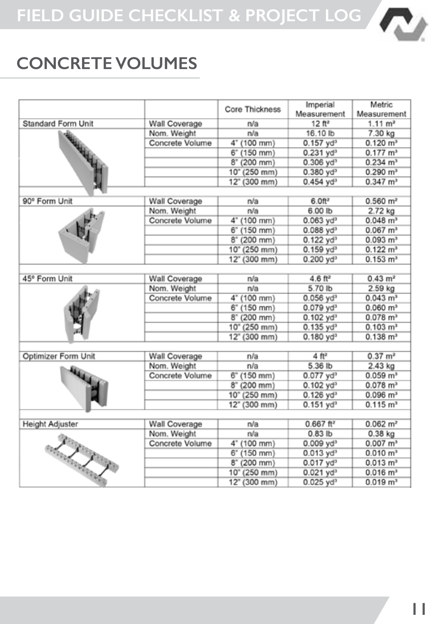

### **CONCRETE VOLUMES**

|                           |                 | Core Thickness | Imperial                  | Metric                 |
|---------------------------|-----------------|----------------|---------------------------|------------------------|
|                           |                 |                | Measurement               | Measurement            |
| <b>Standard Form Unit</b> | Wall Coverage   | n/a            | 12 ft <sup>2</sup>        | $1.11 \text{ m}^2$     |
|                           | Nom. Weight     | n/a            | 16.10 lb                  | 7.30 kg                |
|                           | Concrete Volume | 4" (100 mm)    | $0.157$ yd <sup>3</sup>   | $0.120 \text{ m}^3$    |
|                           |                 | 6" (150 mm)    | $0.231$ yd <sup>3</sup>   | $0.177 \text{ m}^3$    |
|                           |                 | 8°(200 mm)     | $0.306$ yd <sup>3</sup>   | $0.234$ m <sup>3</sup> |
|                           |                 | 10" (250 mm)   | $0.380$ yd <sup>3</sup>   | $0.290 \text{ m}^3$    |
|                           |                 | 12" (300 mm)   | $0.454$ vd <sup>3</sup>   | $0.347 \text{ m}^3$    |
|                           |                 |                |                           |                        |
| 90° Form Unit             | Wall Coverage   | n/a            | 6.0 <sup>2</sup>          | $0.560$ m <sup>2</sup> |
|                           | Nom, Weight     | n/a            | 6.00 lb                   | 2.72 kg                |
|                           | Concrete Volume | 4" (100 mm)    | $0.063$ yd <sup>3</sup>   | $0.048$ m <sup>3</sup> |
|                           |                 | 6" (150 mm)    | $0.088$ yd <sup>3</sup>   | $0.067$ m <sup>3</sup> |
|                           |                 | 8" (200 mm)    | $0.122$ yd <sup>3</sup>   | $0.093$ m <sup>3</sup> |
|                           |                 | 10" (250 mm)   | $0.159$ yd <sup>3</sup>   | $0.122 \text{ m}^3$    |
|                           |                 | 12" (300 mm)   | $0.200$ yd <sup>3</sup>   | $0.153 \text{ m}^3$    |
|                           |                 |                |                           |                        |
| 45° Form Unit             | Wall Coverage   | n/a            | $4.6 \text{ ft}^2$        | $0.43 \text{ m}^2$     |
|                           | Nom, Weight     | n/a            | 5.70 lb                   | 2.59 kg                |
|                           | Concrete Volume | 4" (100 mm)    | $0.056$ $vd^3$            | $0.043$ m <sup>3</sup> |
|                           |                 | 6" (150 mm)    | $0.079$ yd <sup>3</sup>   | $0.060 \text{ m}^3$    |
|                           |                 | 8" (200 mm)    | $0.102$ yd <sup>3</sup>   | $0.078$ m <sup>3</sup> |
|                           |                 | 10" (250 mm)   | $0.135$ vd <sup>3</sup>   | $0.103$ m <sup>3</sup> |
|                           |                 | 12" (300 mm)   | $0.180$ yd <sup>3</sup>   | $0.138 \text{ m}^3$    |
|                           |                 |                |                           |                        |
| Optimizer Form Unit       | Wall Coverage   | n/a            | 4ft <sup>2</sup>          | $0.37 \, \text{m}^2$   |
|                           | Nom. Weight     | n/a            | 5.36 lb                   | 2.43 kg                |
|                           | Concrete Volume | 6" (150 mm)    | $0.077$ yd <sup>3</sup>   | 0.059 m <sup>3</sup>   |
|                           |                 | 8" (200 mm)    | $0.102$ yd <sup>3</sup>   | $0.078$ m <sup>3</sup> |
|                           |                 | 10" (250 mm)   | $0.126$ yd <sup>3</sup>   | $0.096$ m <sup>3</sup> |
|                           |                 | 12" (300 mm)   | $0.151$ yd <sup>3</sup>   | $0.115 \text{ m}^3$    |
|                           |                 |                |                           |                        |
| Height Adjuster           | Wall Coverage   | n/a            | $0.667$ ft <sup>2</sup>   | $0.062 \, \text{m}^2$  |
|                           | Nom. Weight     | n/a            | $0.83$ lb                 | $0.38$ kg              |
|                           | Concrete Volume | 4" (100 mm)    | $0.009$ $vd$ <sup>3</sup> | $0.007$ m <sup>3</sup> |
| La Cardenald              |                 | 6" (150 mm)    | $0.013$ yd <sup>3</sup>   | 0.010 m <sup>3</sup>   |
|                           |                 | 8" (200 mm)    | $0.017$ yd <sup>3</sup>   | $0.013$ m <sup>3</sup> |
|                           |                 | 10" (250 mm)   | $0.021$ yd <sup>3</sup>   | $0.016$ m <sup>3</sup> |
|                           |                 | 12" (300 mm)   | $0.025$ vd <sup>3</sup>   | 0.019 m <sup>3</sup>   |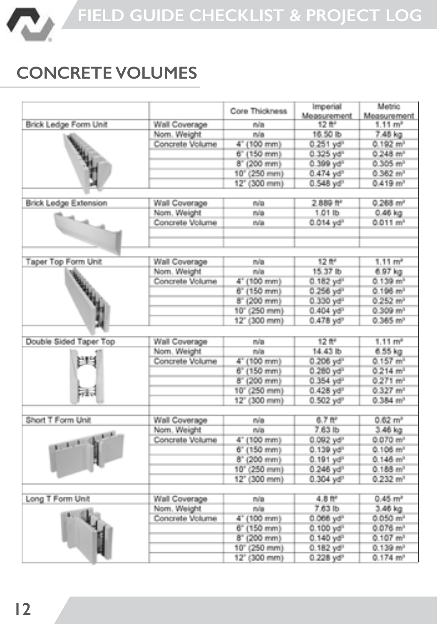

### **CONCRETE VOLUMES**

|                              |                 | Core Thickness | Imperial<br>Moasurement | Metric<br>Measurement  |
|------------------------------|-----------------|----------------|-------------------------|------------------------|
| Brick Ledge Form Unit        | Wall Coverage   | n/a            | 12 世                    | 1.11 m <sup>3</sup>    |
|                              | Nom. Weight     | n/a            | 16.50 lb                | 7.48 kg                |
|                              | Concrete Volume | 4" (100 mm)    | $0.251$ yd <sup>®</sup> | 0.192 m <sup>3</sup>   |
|                              |                 | 6" (150 mm)    | $0.325$ yd <sup>2</sup> | $0.248$ m <sup>3</sup> |
|                              |                 | 8" (200 mm)    | 0.399 yd <sup>2</sup>   | $0.305 \text{ m}^3$    |
|                              |                 | 10" (250 mm)   | $0.474$ yd <sup>p</sup> | $0.362 \ m3$           |
|                              |                 | 12" (300 mm)   | 0.548 yd <sup>p</sup>   | 0.419 m <sup>3</sup>   |
| <b>Brick Ledge Extension</b> | Wall Coverage   | n/a            | 2.889 <sup>44</sup>     | $0.268$ m <sup>2</sup> |
|                              | Nom. Weight     | n/a            | 1.01 lb                 | $0.46$ kg              |
|                              | Concrete Volume | m/a            | $0.014$ yd <sup>2</sup> | $0.011 \text{ m}^3$    |
| Taper Top Form Unit          | Wall Coverage   | n/a            | 12 ft <sup>2</sup>      | 1.11 m <sup>2</sup>    |
|                              | Nom. Weight     | mia            | 15.37 lb                | 6.97 kg                |
|                              | Concrete Volume | 4" (100 mm)    | $0.182$ yd <sup>2</sup> | 0.139 m <sup>3</sup>   |
|                              |                 | 6" (150 mm)    | 0.256 yd <sup>3</sup>   | 0.196 m <sup>3</sup>   |
|                              |                 | 8" (200 mm)    | 0.330 yd <sup>2</sup>   | $0.252$ m <sup>3</sup> |
|                              |                 | 10" (250 mm)   | $0.404$ yd <sup>p</sup> | $0.309$ m <sup>3</sup> |
|                              |                 | 12" (300 mm)   | $0.478$ yd <sup>p</sup> | $0.365 \text{ m}^3$    |
|                              |                 |                |                         |                        |
| Double Sided Taper Top       | Wall Coverage   | n/a            | 12 ftf                  | $1.11 \text{ m}^2$     |
|                              | Nom. Weight     | min            | 14.43 lb                | 6.55 kg                |
|                              | Concrete Volume | 4" (100 mm)    | $0.206$ yd <sup>3</sup> | $0.157$ m <sup>3</sup> |
|                              |                 | $6'$ (150 mm)  | 0.280 yd <sup>3</sup>   | $0.214 \text{ m}^3$    |
|                              |                 | 8" (200 mm)    | $0.354$ yd <sup>2</sup> | $0.271 \text{ m}^3$    |
| a.                           |                 | 10" (250 mm)   | $0.428$ yd <sup>p</sup> | $0.327$ m <sup>3</sup> |
|                              |                 | 12" (300 mm)   | 0.502 yd <sup>p</sup>   | $0.384$ m <sup>3</sup> |
| Short T Form Unit            | Wall Coverage   | n/a            | 6.7 <sup>th</sup>       | 0.62 m <sup>2</sup>    |
|                              | Nom. Weight     | n/a            | 7.63 lb                 | 3.46 kg                |
|                              | Concrete Volume | 4" (100 mm)    | $0.092$ yd <sup>2</sup> | 0.070 m <sup>3</sup>   |
|                              |                 | 6" (150 mm)    | $0.139$ yd <sup>2</sup> | 0.106 m <sup>3</sup>   |
|                              |                 | 8" (200 mm)    | $0.191$ yd <sup>o</sup> | $0.146$ m <sup>3</sup> |
|                              |                 | 10" (250 mm)   | $0.246$ yd <sup>®</sup> | 0.188 m <sup>3</sup>   |
|                              |                 | 12" (300 mm)   | $0.304$ yd <sup>p</sup> | $0.232$ m <sup>3</sup> |
| Long T Form Unit             | Wall Coverage   | n/a            | $4.8$ ft <sup>e</sup>   | 0.45 m <sup>2</sup>    |
|                              | Nom. Weight     | m/a            | $7.63$ lb               | 3.46 kg                |
|                              | Concrete Volume | 4" (100 mm)    | $0.066$ yd <sup>2</sup> | 0.050 m <sup>3</sup>   |
|                              |                 | 6" (150 mm)    | $0.100$ yd <sup>2</sup> | $0.076$ m <sup>3</sup> |
|                              |                 | 8" (200 mm)    | $0.140$ yd <sup>o</sup> | $0.107$ m <sup>3</sup> |
|                              |                 | 10" (250 mm)   | $0.182$ yd <sup>p</sup> | $0.139$ m <sup>3</sup> |
|                              |                 | 12" (300 mm)   | 0.228 yd <sup>p</sup>   | $0.174 \text{ m}^3$    |
|                              |                 |                |                         |                        |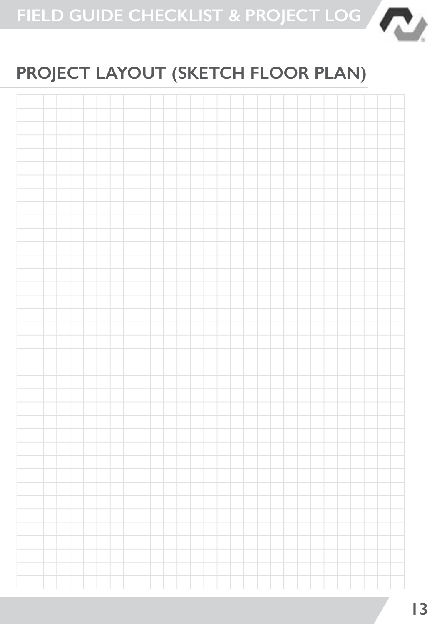

# **PROJECT LAYOUT (SKETCH FLOOR PLAN)**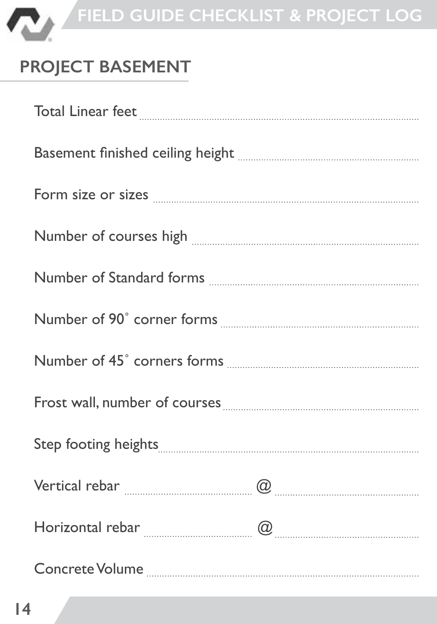

# **PROJECT BASEMENT**

| Total Linear feet <b>Manual Communities</b> and Linear feet                                                                                                                                                                                                                                                                                                                                                                                                                                  |  |
|----------------------------------------------------------------------------------------------------------------------------------------------------------------------------------------------------------------------------------------------------------------------------------------------------------------------------------------------------------------------------------------------------------------------------------------------------------------------------------------------|--|
|                                                                                                                                                                                                                                                                                                                                                                                                                                                                                              |  |
| Form size or sizes <b>with an area of the sizes</b> with the size of sizes <b>with the size of sizes</b> with the size of sizes <b>with the size of sizes</b> with the size of sizes <b>with the size of sizes</b> with the size of sizes <b>with th</b>                                                                                                                                                                                                                                     |  |
| $\begin{minipage}{.4\linewidth} Number of courses high \begin{minipage}{.4\linewidth} \end{minipage} \vspace{0.00000cm} \begin{minipage}{.4\linewidth} \end{minipage} \vspace{0.00000cm} \begin{minipage}{.4\linewidth} \end{minipage} \vspace{0.00000cm} \begin{minipage}{.4\linewidth} \end{minipage} \vspace{0.00000cm} \begin{minipage}{.4\linewidth} \end{minipage} \vspace{0.00000cm} \begin{minipage}{.4\linewidth} \end{minipage} \vspace{0.00000cm} \begin{minipage}{.4\linewidth}$ |  |
|                                                                                                                                                                                                                                                                                                                                                                                                                                                                                              |  |
|                                                                                                                                                                                                                                                                                                                                                                                                                                                                                              |  |
|                                                                                                                                                                                                                                                                                                                                                                                                                                                                                              |  |
|                                                                                                                                                                                                                                                                                                                                                                                                                                                                                              |  |
|                                                                                                                                                                                                                                                                                                                                                                                                                                                                                              |  |
| $\textbf{Vertical rebar} \textcolor{red}{} \textcolor{red}{\textbf{a}} \textcolor{red}{\textbf{a}} \textcolor{red}{\textbf{a}}$                                                                                                                                                                                                                                                                                                                                                              |  |
| $\textbf{Horizontal rebar \ }_{\textcolor{red}{\pmb{m}}\textcolor{red}{\pmb{m}}\textcolor{red}{\pmb{m}}\textcolor{red}{\pmb{m}}\textcolor{red}{\pmb{m}}\textcolor{red}{\pmb{m}}$                                                                                                                                                                                                                                                                                                             |  |
|                                                                                                                                                                                                                                                                                                                                                                                                                                                                                              |  |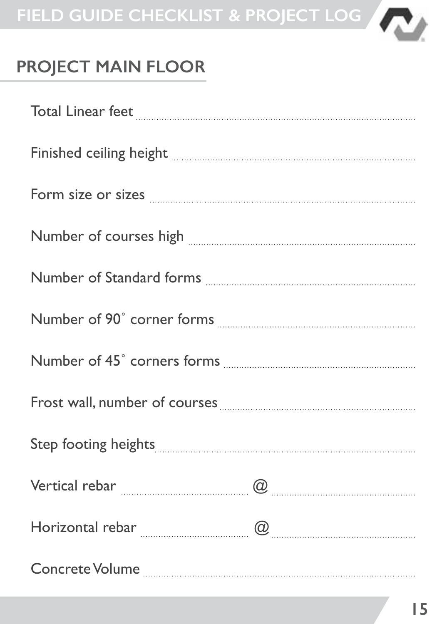

### **PROJECT MAIN FLOOR**

| $\label{eq:total} \textbf{Total Linear feet} \underset{~~\textbf{if}~\textbf{if}~\textbf{if}~\textbf{if}~\textbf{if}~\textbf{if}~\textbf{if}~\textbf{if}~\textbf{if}~\textbf{if}~\textbf{if}~\textbf{if}~\textbf{if}~\textbf{if}~\textbf{if}~\textbf{if}~\textbf{if}~\textbf{if}~\textbf{if}~\textbf{if}~\textbf{if}~\textbf{if}~\textbf{if}~\textbf{if}~\textbf{if}~\textbf{if}~\textbf{if}~\textbf{if}~\textbf{$                                                                                        |  |
|-----------------------------------------------------------------------------------------------------------------------------------------------------------------------------------------------------------------------------------------------------------------------------------------------------------------------------------------------------------------------------------------------------------------------------------------------------------------------------------------------------------|--|
| Finished ceiling height <b>with an army of the contract of the contract of the contract of the contract of the contract of the contract of the contract of the contract of the contract of the contract of the contract of the c</b>                                                                                                                                                                                                                                                                      |  |
| Form size or sizes <b>with a constant of the size of sizes</b> with the state of sizes <b>with the size of sizes</b>                                                                                                                                                                                                                                                                                                                                                                                      |  |
| Number of courses high <b>with an all of the course</b> state of courses high <b>with the contract of the contract of the contract of the contract of the contract of the contract of the contract of the contract of the contract of</b>                                                                                                                                                                                                                                                                 |  |
|                                                                                                                                                                                                                                                                                                                                                                                                                                                                                                           |  |
|                                                                                                                                                                                                                                                                                                                                                                                                                                                                                                           |  |
|                                                                                                                                                                                                                                                                                                                                                                                                                                                                                                           |  |
|                                                                                                                                                                                                                                                                                                                                                                                                                                                                                                           |  |
| Step footing heights <b>with the contract of the contract of the contract of the contract of the contract of the contract of the contract of the contract of the contract of the contract of the contract of the contract of the</b>                                                                                                                                                                                                                                                                      |  |
| $\textbf{Vertical rebar} \begin{minipage}[c]{0.5\textwidth} \centering \begin{tabular}{ c c c c } \hline \textbf{Q} & \textbf{z} & \textbf{z} & \textbf{z} & \textbf{z} & \textbf{z} & \textbf{z} & \textbf{z} & \textbf{z} & \textbf{z} & \textbf{z} & \textbf{z} & \textbf{z} & \textbf{z} & \textbf{z} & \textbf{z} & \textbf{z} & \textbf{z} & \textbf{z} & \textbf{z} & \textbf{z} & \textbf{z} & \textbf{z} & \textbf{z} & \textbf{z}$                                                              |  |
|                                                                                                                                                                                                                                                                                                                                                                                                                                                                                                           |  |
| $\label{eq:concrete} \textbf{Concrete Volume}\textcolor{red}{\textbf{}}\textcolor{red}{\textbf{}}\textcolor{red}{\textbf{}}\textcolor{red}{\textbf{}}\textcolor{red}{\textbf{}}\textcolor{red}{\textbf{}}\textcolor{red}{\textbf{}}\textcolor{red}{\textbf{}}\textcolor{red}{\textbf{}}\textcolor{red}{\textbf{}}\textcolor{red}{\textbf{}}\textcolor{red}{\textbf{}}\textcolor{red}{\textbf{}}\textcolor{red}{\textbf{}}\textcolor{red}{\textbf{}}\textcolor{red}{\textbf{}}\textcolor{red}{\textbf{}}\$ |  |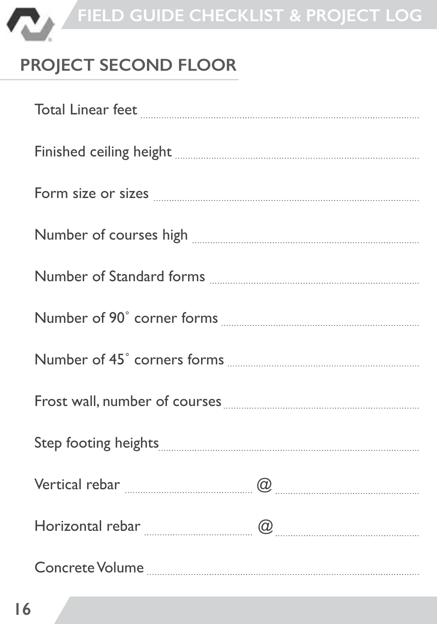

# **PROJECT SECOND FLOOR**

| Finished ceiling height <b>with the community of the contract of the contract of the contract of the contract of t</b> |  |
|------------------------------------------------------------------------------------------------------------------------|--|
|                                                                                                                        |  |
| $\label{lem:main} {\bf Number\ of\ courses\ high\ \ }_{\rm \ \ } {\bf \ } \qquad \qquad {\bf \ }$                      |  |
| Number of Standard forms <b>with an allegan and Standard forms</b>                                                     |  |
|                                                                                                                        |  |
|                                                                                                                        |  |
|                                                                                                                        |  |
|                                                                                                                        |  |
|                                                                                                                        |  |
|                                                                                                                        |  |
|                                                                                                                        |  |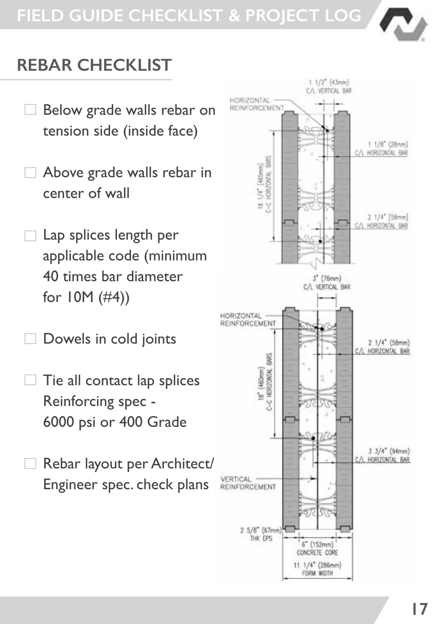

### **REBAR CHECKLIST**

- Below grade walls rebar on tension side (inside face)
- Above grade walls rebar in center of wall
- Lap splices length per applicable code (minimum 40 times bar diameter for 10M (#4))
- Dowels in cold joints
- Tie all contact lap splices Reinforcing spec - 6000 psi or 400 Grade
- Rebar layout per Architect/ Engineer spec. check plans

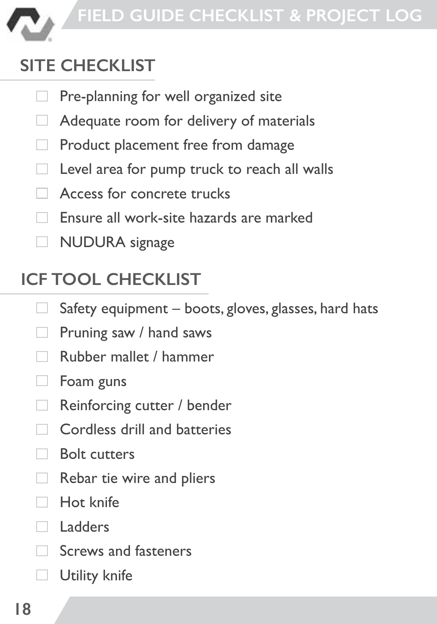

# **SITE CHECKLIST**

- Pre-planning for well organized site
- Adequate room for delivery of materials
- Product placement free from damage п
	- Level area for pump truck to reach all walls
- Access for concrete trucks
- Ensure all work-site hazards are marked
- **NUDURA** signage

### **ICF TOOL CHECKLIST**

- Safety equipment boots, gloves, glasses, hard hats
- Pruning saw / hand saws
- Rubber mallet / hammer
- $\Box$ Foam guns
- Reinforcing cutter / bender **COLLEGE**
- Cordless drill and batteries
- Bolt cutters
- Rebar tie wire and pliers
- Hot knife
- Ladders
- Screws and fasteners
- Utility knife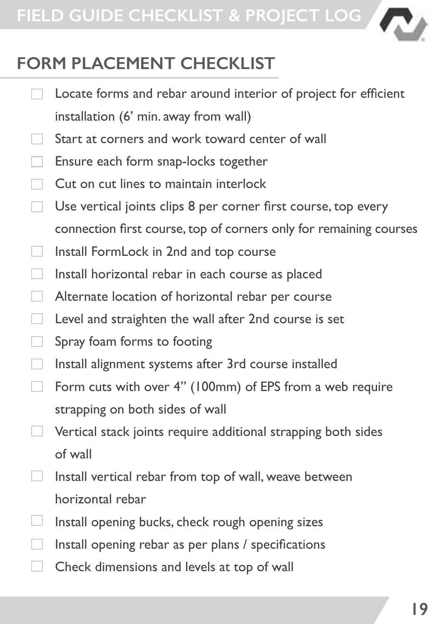

### **FORM PLACEMENT CHECKLIST**

- Locate forms and rebar around interior of project for efficient installation (6' min. away from wall) Start at corners and work toward center of wall Ensure each form snap-locks together Cut on cut lines to maintain interlock Use vertical joints clips 8 per corner first course, top every connection first course, top of corners only for remaining courses Install FormLock in 2nd and top course Install horizontal rebar in each course as placed Alternate location of horizontal rebar per course Level and straighten the wall after 2nd course is set Spray foam forms to footing Install alignment systems after 3rd course installed Form cuts with over 4" (100mm) of EPS from a web require strapping on both sides of wall Vertical stack joints require additional strapping both sides of wall
	- Install vertical rebar from top of wall, weave between horizontal rebar
	- Install opening bucks, check rough opening sizes
	- Install opening rebar as per plans / specifications
	- Check dimensions and levels at top of wall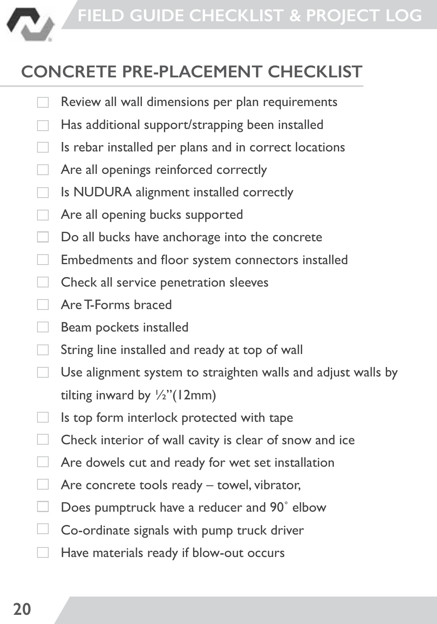

### **CONCRETE PRE-PLACEMENT CHECKLIST**

- Review all wall dimensions per plan requirements
- Has additional support/strapping been installed
- Is rebar installed per plans and in correct locations
- Are all openings reinforced correctly
- Is NUDURA alignment installed correctly
- Are all opening bucks supported
- Do all bucks have anchorage into the concrete
- Embedments and floor system connectors installed
- Check all service penetration sleeves
- Are T-Forms braced п
- Beam pockets installed
- String line installed and ready at top of wall
- Use alignment system to straighten walls and adjust walls by tilting inward by ½"(12mm)
- Is top form interlock protected with tape
- Check interior of wall cavity is clear of snow and ice
- Are dowels cut and ready for wet set installation п
- Are concrete tools ready towel, vibrator,
- Does pumptruck have a reducer and 90˚ elbow
- □ Co-ordinate signals with pump truck driver
- Have materials ready if blow-out occurs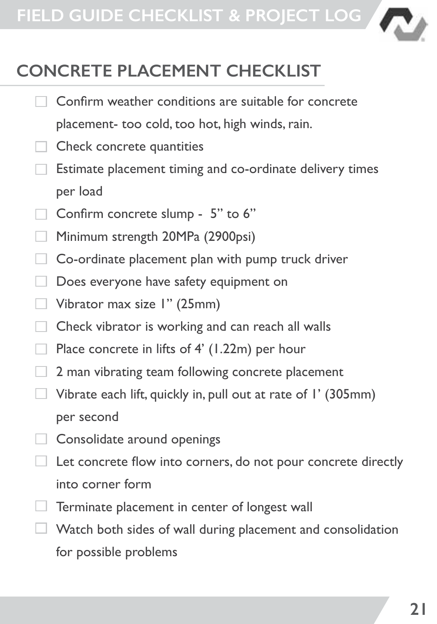

### **CONCRETE PLACEMENT CHECKLIST**

- Confirm weather conditions are suitable for concrete placement- too cold, too hot, high winds, rain.
- Check concrete quantities
- Estimate placement timing and co-ordinate delivery times per load
- $\Box$  Confirm concrete slump 5" to 6"
- Minimum strength 20MPa (2900psi)
- Co-ordinate placement plan with pump truck driver
- Does everyone have safety equipment on
- Vibrator max size 1" (25mm)
- **Check vibrator is working and can reach all walls**
- Place concrete in lifts of 4' (1.22m) per hour
- $\Box$  2 man vibrating team following concrete placement
- $\Box$  Vibrate each lift, quickly in, pull out at rate of I' (305mm) per second
- Consolidate around openings
- Let concrete flow into corners, do not pour concrete directly into corner form
- Terminate placement in center of longest wall
- Watch both sides of wall during placement and consolidation for possible problems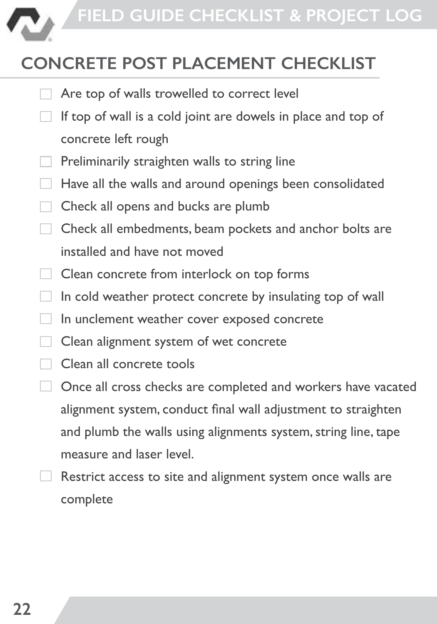

# **CONCRETE POST PLACEMENT CHECKLIST**

- Are top of walls trowelled to correct level
- If top of wall is a cold joint are dowels in place and top of concrete left rough
- Preliminarily straighten walls to string line
- Have all the walls and around openings been consolidated
- Check all opens and bucks are plumb
- Check all embedments, beam pockets and anchor bolts are п installed and have not moved
- Clean concrete from interlock on top forms П.
- In cold weather protect concrete by insulating top of wall  $\Box$
- In unclement weather cover exposed concrete П
- Clean alignment system of wet concrete
- Clean all concrete tools
- Once all cross checks are completed and workers have vacated alignment system, conduct final wall adjustment to straighten and plumb the walls using alignments system, string line, tape measure and laser level.
- Restrict access to site and alignment system once walls are complete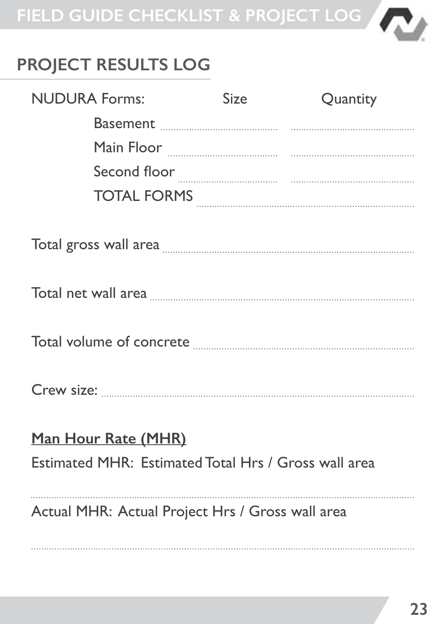

# **PROJECT RESULTS LOG**

| <b>NUDURA Forms:</b>                                                        |                                                                                                                                                                                                                                     | Size | Quantity |
|-----------------------------------------------------------------------------|-------------------------------------------------------------------------------------------------------------------------------------------------------------------------------------------------------------------------------------|------|----------|
|                                                                             |                                                                                                                                                                                                                                     |      |          |
|                                                                             |                                                                                                                                                                                                                                     |      |          |
|                                                                             |                                                                                                                                                                                                                                     |      |          |
|                                                                             | TOTAL FORMS                                                                                                                                                                                                                         |      |          |
|                                                                             |                                                                                                                                                                                                                                     |      |          |
|                                                                             | Total gross wall area <b>with an area with an area with an area</b> with an area with an area with an area with an area with an area with an area with an area with an area with an area with a straight and area with a straight a |      |          |
|                                                                             |                                                                                                                                                                                                                                     |      |          |
|                                                                             |                                                                                                                                                                                                                                     |      |          |
|                                                                             |                                                                                                                                                                                                                                     |      |          |
| Man Hour Rate (MHR)<br>Estimated MHR: Estimated Total Hrs / Gross wall area |                                                                                                                                                                                                                                     |      |          |
|                                                                             | Actual MHR: Actual Project Hrs / Gross wall area                                                                                                                                                                                    |      |          |
|                                                                             |                                                                                                                                                                                                                                     |      |          |